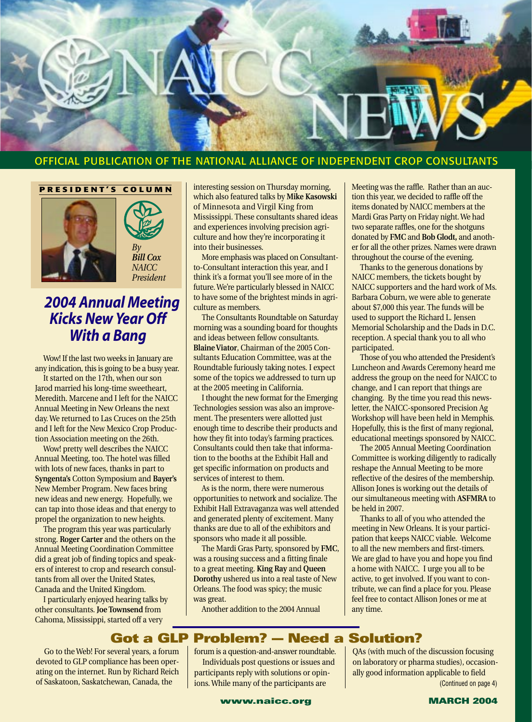

#### OFFICIAL PUBLICATION OF THE NATIONAL ALLIANCE OF INDEPENDENT CROP CONSULTANTS

#### **PRESIDENT'S COLUMN**





## *2004 Annual Meeting Kicks New Year Off With a Bang*

Wow! If the last two weeks in January are any indication, this is going to be a busy year.

It started on the 17th, when our son Jarod married his long-time sweetheart, Meredith. Marcene and I left for the NAICC Annual Meeting in New Orleans the next day. We returned to Las Cruces on the 25th and I left for the New Mexico Crop Production Association meeting on the 26th.

Wow! pretty well describes the NAICC Annual Meeting, too. The hotel was filled with lots of new faces, thanks in part to **Syngenta's** Cotton Symposium and **Bayer's** New Member Program. New faces bring new ideas and new energy. Hopefully, we can tap into those ideas and that energy to propel the organization to new heights.

The program this year was particularly strong. **Roger Carter** and the others on the Annual Meeting Coordination Committee did a great job of finding topics and speakers of interest to crop and research consultants from all over the United States, Canada and the United Kingdom.

I particularly enjoyed hearing talks by other consultants. **Joe Townsend** from Cahoma, Mississippi, started off a very

interesting session on Thursday morning, which also featured talks by **Mike Kasowski** of Minnesota and Virgil King from Mississippi. These consultants shared ideas and experiences involving precision agriculture and how they're incorporating it into their businesses.

More emphasis was placed on Consultantto-Consultant interaction this year, and I think it's a format you'll see more of in the future. We're particularly blessed in NAICC to have some of the brightest minds in agriculture as members.

The Consultants Roundtable on Saturday morning was a sounding board for thoughts and ideas between fellow consultants. **Blaine Viator**, Chairman of the 2005 Consultants Education Committee, was at the Roundtable furiously taking notes. I expect some of the topics we addressed to turn up at the 2005 meeting in California.

I thought the new format for the Emerging Technologies session was also an improvement. The presenters were allotted just enough time to describe their products and how they fit into today's farming practices. Consultants could then take that information to the booths at the Exhibit Hall and get specific information on products and services of interest to them.

As is the norm, there were numerous opportunities to network and socialize. The Exhibit Hall Extravaganza was well attended and generated plenty of excitement. Many thanks are due to all of the exhibitors and sponsors who made it all possible.

The Mardi Gras Party, sponsored by **FMC**, was a rousing success and a fitting finale to a great meeting. **King Ray** and **Queen Dorothy** ushered us into a real taste of New Orleans. The food was spicy; the music was great.

Another addition to the 2004 Annual

Meeting was the raffle. Rather than an auction this year, we decided to raffle off the items donated by NAICC members at the Mardi Gras Party on Friday night. We had two separate raffles, one for the shotguns donated by **FMC** and **Bob Glodt,** and another for all the other prizes. Names were drawn throughout the course of the evening.

Thanks to the generous donations by NAICC members, the tickets bought by NAICC supporters and the hard work of Ms. Barbara Coburn, we were able to generate about \$7,000 this year. The funds will be used to support the Richard L. Jensen Memorial Scholarship and the Dads in D.C. reception. A special thank you to all who participated.

Those of you who attended the President's Luncheon and Awards Ceremony heard me address the group on the need for NAICC to change, and I can report that things are changing. By the time you read this newsletter, the NAICC-sponsored Precision Ag Workshop will have been held in Memphis. Hopefully, this is the first of many regional, educational meetings sponsored by NAICC.

The 2005 Annual Meeting Coordination Committee is working diligently to radically reshape the Annual Meeting to be more reflective of the desires of the membership. Allison Jones is working out the details of our simultaneous meeting with **ASFMRA** to be held in 2007.

Thanks to all of you who attended the meeting in New Orleans. It is your participation that keeps NAICC viable. Welcome to all the new members and first-timers. We are glad to have you and hope you find a home with NAICC. I urge you all to be active, to get involved. If you want to contribute, we can find a place for you. Please feel free to contact Allison Jones or me at any time.

QAs (with much of the discussion focusing on laboratory or pharma studies), occasionally good information applicable to field

## **Got a GLP Problem? — Need a Solution?**

Go to the Web! For several years, a forum devoted to GLP compliance has been operating on the internet. Run by Richard Reich of Saskatoon, Saskatchewan, Canada, the

forum is a question-and-answer roundtable. Individuals post questions or issues and participants reply with solutions or opinions. While many of the participants are

**www.naicc.org MARCH 2004**



(Continued on page 4)